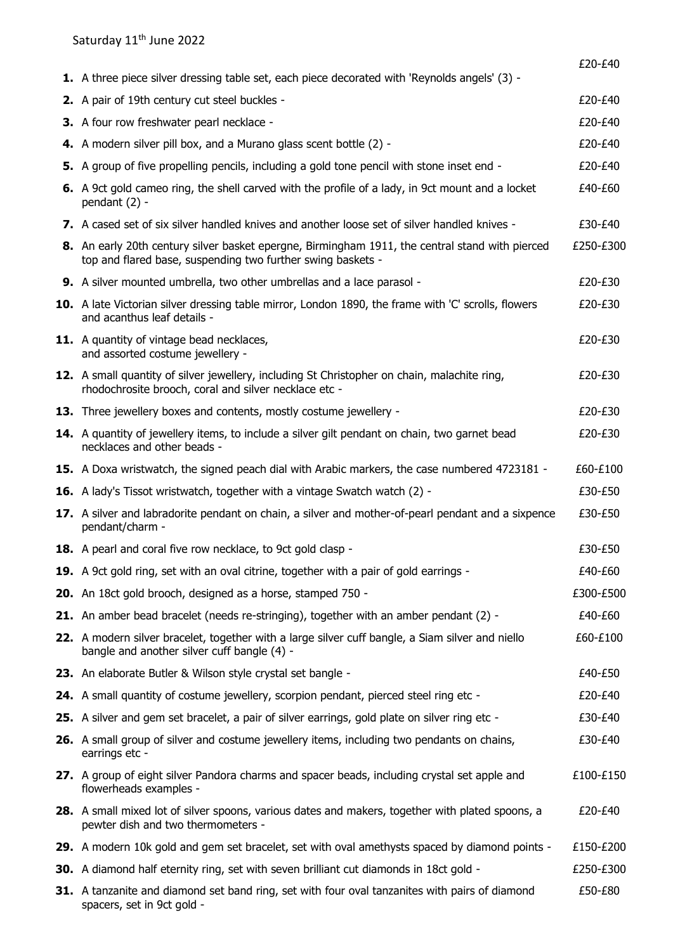|                                                                                                                                                                | £20-£40   |
|----------------------------------------------------------------------------------------------------------------------------------------------------------------|-----------|
| 1. A three piece silver dressing table set, each piece decorated with 'Reynolds angels' (3) -                                                                  |           |
| 2. A pair of 19th century cut steel buckles -                                                                                                                  | £20-£40   |
| 3. A four row freshwater pearl necklace -                                                                                                                      | £20-£40   |
| 4. A modern silver pill box, and a Murano glass scent bottle (2) -                                                                                             | £20-£40   |
| 5. A group of five propelling pencils, including a gold tone pencil with stone inset end -                                                                     | £20-£40   |
| 6. A 9ct gold cameo ring, the shell carved with the profile of a lady, in 9ct mount and a locket<br>pendant $(2)$ -                                            | £40-£60   |
| 7. A cased set of six silver handled knives and another loose set of silver handled knives -                                                                   | £30-£40   |
| 8. An early 20th century silver basket epergne, Birmingham 1911, the central stand with pierced<br>top and flared base, suspending two further swing baskets - | £250-£300 |
| <b>9.</b> A silver mounted umbrella, two other umbrellas and a lace parasol -                                                                                  | £20-£30   |
| 10. A late Victorian silver dressing table mirror, London 1890, the frame with 'C' scrolls, flowers<br>and acanthus leaf details -                             | £20-£30   |
| 11. A quantity of vintage bead necklaces,<br>and assorted costume jewellery -                                                                                  | £20-£30   |
| 12. A small quantity of silver jewellery, including St Christopher on chain, malachite ring,<br>rhodochrosite brooch, coral and silver necklace etc -          | £20-£30   |
| 13. Three jewellery boxes and contents, mostly costume jewellery -                                                                                             | £20-£30   |
| 14. A quantity of jewellery items, to include a silver gilt pendant on chain, two garnet bead<br>necklaces and other beads -                                   | £20-£30   |
| 15. A Doxa wristwatch, the signed peach dial with Arabic markers, the case numbered 4723181 -                                                                  | £60-£100  |
| 16. A lady's Tissot wristwatch, together with a vintage Swatch watch (2) -                                                                                     | £30-£50   |
| 17. A silver and labradorite pendant on chain, a silver and mother-of-pearl pendant and a sixpence<br>pendant/charm -                                          | £30-£50   |
| 18. A pearl and coral five row necklace, to 9ct gold clasp -                                                                                                   | £30-£50   |
| 19. A 9ct gold ring, set with an oval citrine, together with a pair of gold earrings -                                                                         | £40-£60   |
| 20. An 18ct gold brooch, designed as a horse, stamped 750 -                                                                                                    | £300-£500 |
| 21. An amber bead bracelet (needs re-stringing), together with an amber pendant (2) -                                                                          | £40-£60   |
| 22. A modern silver bracelet, together with a large silver cuff bangle, a Siam silver and niello<br>bangle and another silver cuff bangle (4) -                | £60-£100  |
| 23. An elaborate Butler & Wilson style crystal set bangle -                                                                                                    | £40-£50   |
| 24. A small quantity of costume jewellery, scorpion pendant, pierced steel ring etc -                                                                          | £20-£40   |
| 25. A silver and gem set bracelet, a pair of silver earrings, gold plate on silver ring etc -                                                                  | £30-£40   |
| 26. A small group of silver and costume jewellery items, including two pendants on chains,<br>earrings etc -                                                   | £30-£40   |
| 27. A group of eight silver Pandora charms and spacer beads, including crystal set apple and<br>flowerheads examples -                                         | £100-£150 |
| 28. A small mixed lot of silver spoons, various dates and makers, together with plated spoons, a<br>pewter dish and two thermometers -                         | £20-£40   |
| 29. A modern 10k gold and gem set bracelet, set with oval amethysts spaced by diamond points -                                                                 | £150-£200 |
| 30. A diamond half eternity ring, set with seven brilliant cut diamonds in 18ct gold -                                                                         | £250-£300 |
| 31. A tanzanite and diamond set band ring, set with four oval tanzanites with pairs of diamond<br>spacers, set in 9ct gold -                                   | £50-£80   |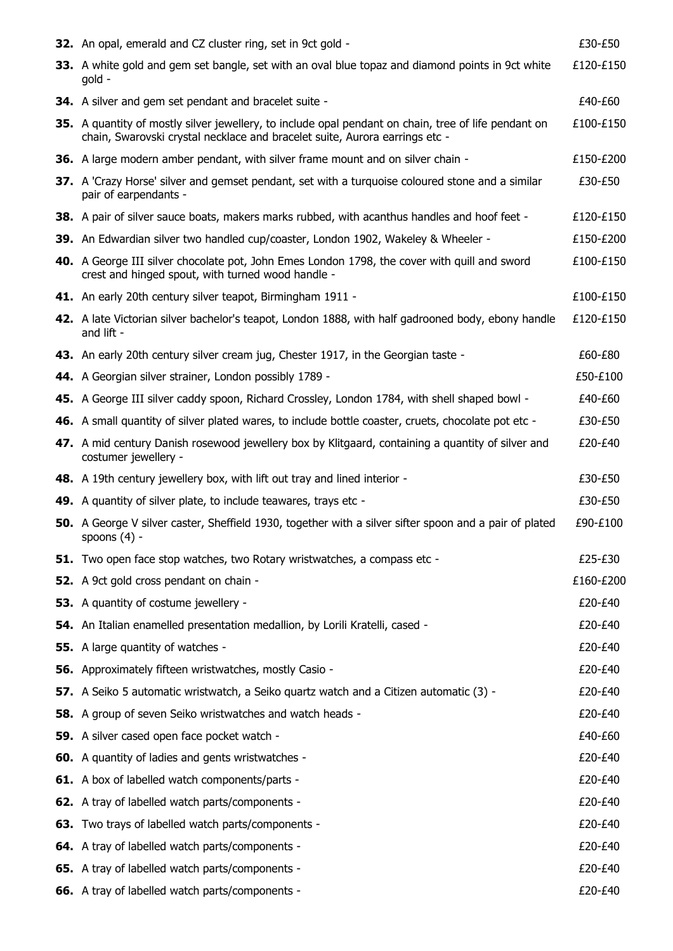| 32. An opal, emerald and CZ cluster ring, set in 9ct gold -                                                                                                                         | £30-£50   |
|-------------------------------------------------------------------------------------------------------------------------------------------------------------------------------------|-----------|
| 33. A white gold and gem set bangle, set with an oval blue topaz and diamond points in 9ct white<br>qold -                                                                          | £120-£150 |
| <b>34.</b> A silver and gem set pendant and bracelet suite -                                                                                                                        | £40-£60   |
| 35. A quantity of mostly silver jewellery, to include opal pendant on chain, tree of life pendant on<br>chain, Swarovski crystal necklace and bracelet suite, Aurora earrings etc - | £100-£150 |
| 36. A large modern amber pendant, with silver frame mount and on silver chain -                                                                                                     | £150-£200 |
| 37. A 'Crazy Horse' silver and gemset pendant, set with a turguoise coloured stone and a similar<br>pair of earpendants -                                                           | £30-£50   |
| 38. A pair of silver sauce boats, makers marks rubbed, with acanthus handles and hoof feet -                                                                                        | £120-£150 |
| 39. An Edwardian silver two handled cup/coaster, London 1902, Wakeley & Wheeler -                                                                                                   | £150-£200 |
| 40. A George III silver chocolate pot, John Emes London 1798, the cover with quill and sword<br>crest and hinged spout, with turned wood handle -                                   | £100-£150 |
| 41. An early 20th century silver teapot, Birmingham 1911 -                                                                                                                          | £100-£150 |
| 42. A late Victorian silver bachelor's teapot, London 1888, with half gadrooned body, ebony handle<br>and lift -                                                                    | £120-£150 |
| 43. An early 20th century silver cream jug, Chester 1917, in the Georgian taste -                                                                                                   | £60-£80   |
| 44. A Georgian silver strainer, London possibly 1789 -                                                                                                                              | £50-£100  |
| 45. A George III silver caddy spoon, Richard Crossley, London 1784, with shell shaped bowl -                                                                                        | £40-£60   |
| 46. A small quantity of silver plated wares, to include bottle coaster, cruets, chocolate pot etc -                                                                                 | £30-£50   |
| 47. A mid century Danish rosewood jewellery box by Klitgaard, containing a quantity of silver and<br>costumer jewellery -                                                           | £20-£40   |
| 48. A 19th century jewellery box, with lift out tray and lined interior -                                                                                                           | £30-£50   |
| 49. A quantity of silver plate, to include teawares, trays etc -                                                                                                                    | £30-£50   |
| 50. A George V silver caster, Sheffield 1930, together with a silver sifter spoon and a pair of plated<br>spoons $(4)$ -                                                            | £90-£100  |
| 51. Two open face stop watches, two Rotary wristwatches, a compass etc -                                                                                                            | £25-£30   |
| 52. A 9ct gold cross pendant on chain -                                                                                                                                             | £160-£200 |
| 53. A quantity of costume jewellery -                                                                                                                                               | £20-£40   |
| 54. An Italian enamelled presentation medallion, by Lorili Kratelli, cased -                                                                                                        | £20-£40   |
| <b>55.</b> A large quantity of watches -                                                                                                                                            | £20-£40   |
| 56. Approximately fifteen wristwatches, mostly Casio -                                                                                                                              | £20-£40   |
| 57. A Seiko 5 automatic wristwatch, a Seiko quartz watch and a Citizen automatic (3) -                                                                                              | £20-£40   |
| 58. A group of seven Seiko wristwatches and watch heads -                                                                                                                           | £20-£40   |
| 59. A silver cased open face pocket watch -                                                                                                                                         | £40-£60   |
| <b>60.</b> A quantity of ladies and gents wristwatches -                                                                                                                            | £20-£40   |
| <b>61.</b> A box of labelled watch components/parts -                                                                                                                               | £20-£40   |
| <b>62.</b> A tray of labelled watch parts/components -                                                                                                                              | £20-£40   |
| <b>63.</b> Two trays of labelled watch parts/components -                                                                                                                           | £20-£40   |
| <b>64.</b> A tray of labelled watch parts/components -                                                                                                                              | £20-£40   |
| 65. A tray of labelled watch parts/components -                                                                                                                                     | £20-£40   |
| 66. A tray of labelled watch parts/components -                                                                                                                                     | £20-£40   |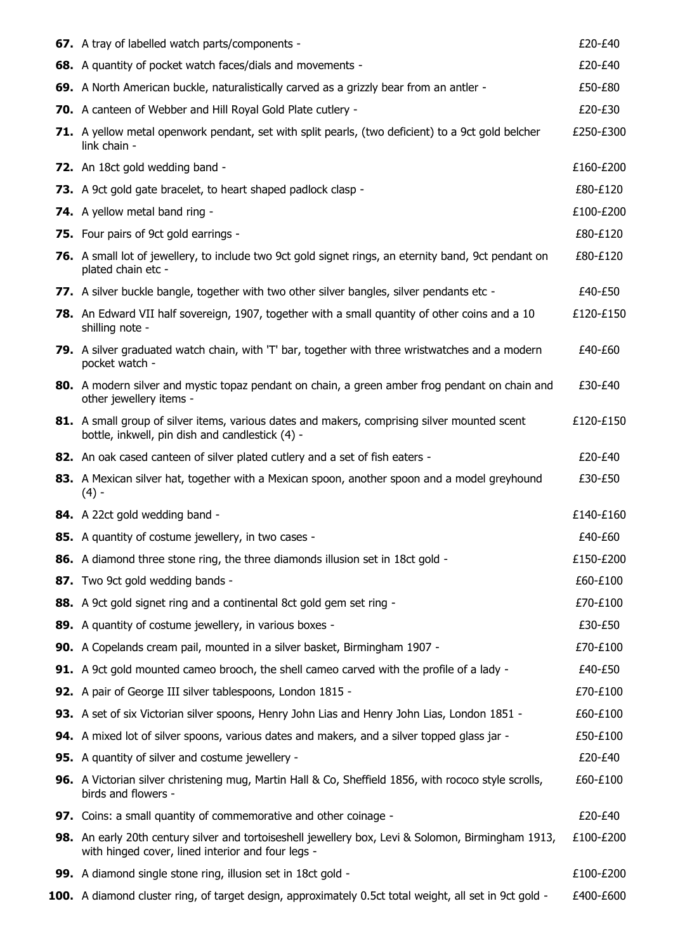| 67. A tray of labelled watch parts/components -                                                                                                         | £20-£40   |
|---------------------------------------------------------------------------------------------------------------------------------------------------------|-----------|
| 68. A quantity of pocket watch faces/dials and movements -                                                                                              | £20-£40   |
| 69. A North American buckle, naturalistically carved as a grizzly bear from an antler -                                                                 | £50-£80   |
| 70. A canteen of Webber and Hill Royal Gold Plate cutlery -                                                                                             | £20-£30   |
| 71. A yellow metal openwork pendant, set with split pearls, (two deficient) to a 9ct gold belcher<br>link chain -                                       | £250-£300 |
| 72. An 18ct gold wedding band -                                                                                                                         | £160-£200 |
| 73. A 9ct gold gate bracelet, to heart shaped padlock clasp -                                                                                           | £80-£120  |
| <b>74.</b> A yellow metal band ring -                                                                                                                   | £100-£200 |
| 75. Four pairs of 9ct gold earrings -                                                                                                                   | £80-£120  |
| 76. A small lot of jewellery, to include two 9ct gold signet rings, an eternity band, 9ct pendant on<br>plated chain etc -                              | £80-£120  |
| 77. A silver buckle bangle, together with two other silver bangles, silver pendants etc -                                                               | £40-£50   |
| 78. An Edward VII half sovereign, 1907, together with a small quantity of other coins and a 10<br>shilling note -                                       | £120-£150 |
| 79. A silver graduated watch chain, with 'T' bar, together with three wristwatches and a modern<br>pocket watch -                                       | £40-£60   |
| 80. A modern silver and mystic topaz pendant on chain, a green amber frog pendant on chain and<br>other jewellery items -                               | £30-£40   |
| 81. A small group of silver items, various dates and makers, comprising silver mounted scent<br>bottle, inkwell, pin dish and candlestick (4) -         | £120-£150 |
| 82. An oak cased canteen of silver plated cutlery and a set of fish eaters -                                                                            | £20-£40   |
| 83. A Mexican silver hat, together with a Mexican spoon, another spoon and a model greyhound<br>$(4) -$                                                 | £30-£50   |
| 84. A 22ct gold wedding band -                                                                                                                          | £140-£160 |
| 85. A quantity of costume jewellery, in two cases -                                                                                                     | £40-£60   |
| 86. A diamond three stone ring, the three diamonds illusion set in 18ct gold -                                                                          | £150-£200 |
| 87. Two 9ct gold wedding bands -                                                                                                                        | £60-£100  |
| 88. A 9ct gold signet ring and a continental 8ct gold gem set ring -                                                                                    | £70-£100  |
| 89. A quantity of costume jewellery, in various boxes -                                                                                                 | £30-£50   |
| 90. A Copelands cream pail, mounted in a silver basket, Birmingham 1907 -                                                                               | £70-£100  |
| <b>91.</b> A 9ct gold mounted cameo brooch, the shell cameo carved with the profile of a lady -                                                         | £40-£50   |
| 92. A pair of George III silver tablespoons, London 1815 -                                                                                              | £70-£100  |
| 93. A set of six Victorian silver spoons, Henry John Lias and Henry John Lias, London 1851 -                                                            | £60-£100  |
| 94. A mixed lot of silver spoons, various dates and makers, and a silver topped glass jar -                                                             | £50-£100  |
| <b>95.</b> A quantity of silver and costume jewellery -                                                                                                 | £20-£40   |
| 96. A Victorian silver christening mug, Martin Hall & Co, Sheffield 1856, with rococo style scrolls,<br>birds and flowers -                             | £60-£100  |
| 97. Coins: a small quantity of commemorative and other coinage -                                                                                        | £20-£40   |
| 98. An early 20th century silver and tortoiseshell jewellery box, Levi & Solomon, Birmingham 1913,<br>with hinged cover, lined interior and four legs - | £100-£200 |
| 99. A diamond single stone ring, illusion set in 18ct gold -                                                                                            | £100-£200 |
| 100. A diamond cluster ring, of target design, approximately 0.5ct total weight, all set in 9ct gold -                                                  | £400-£600 |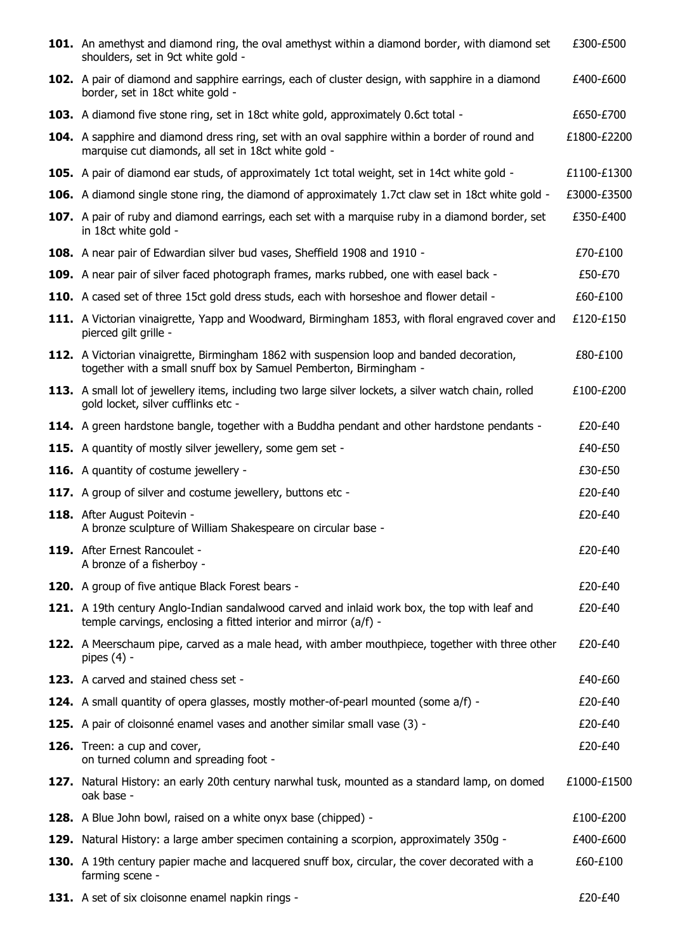| 101. An amethyst and diamond ring, the oval amethyst within a diamond border, with diamond set<br>shoulders, set in 9ct white gold -                             | £300-£500   |
|------------------------------------------------------------------------------------------------------------------------------------------------------------------|-------------|
| 102. A pair of diamond and sapphire earrings, each of cluster design, with sapphire in a diamond<br>border, set in 18ct white gold -                             | £400-£600   |
| <b>103.</b> A diamond five stone ring, set in 18ct white gold, approximately 0.6ct total -                                                                       | £650-£700   |
| 104. A sapphire and diamond dress ring, set with an oval sapphire within a border of round and<br>marquise cut diamonds, all set in 18ct white gold -            | £1800-£2200 |
| 105. A pair of diamond ear studs, of approximately 1ct total weight, set in 14ct white gold -                                                                    | £1100-£1300 |
| 106. A diamond single stone ring, the diamond of approximately 1.7ct claw set in 18ct white gold -                                                               | £3000-£3500 |
| 107. A pair of ruby and diamond earrings, each set with a marquise ruby in a diamond border, set<br>in 18ct white gold -                                         | £350-£400   |
| 108. A near pair of Edwardian silver bud vases, Sheffield 1908 and 1910 -                                                                                        | £70-£100    |
| 109. A near pair of silver faced photograph frames, marks rubbed, one with easel back -                                                                          | £50-£70     |
| 110. A cased set of three 15ct gold dress studs, each with horseshoe and flower detail -                                                                         | £60-£100    |
| 111. A Victorian vinaigrette, Yapp and Woodward, Birmingham 1853, with floral engraved cover and<br>pierced gilt grille -                                        | £120-£150   |
| 112. A Victorian vinaigrette, Birmingham 1862 with suspension loop and banded decoration,<br>together with a small snuff box by Samuel Pemberton, Birmingham -   | £80-£100    |
| 113. A small lot of jewellery items, including two large silver lockets, a silver watch chain, rolled<br>gold locket, silver cufflinks etc -                     | £100-£200   |
| 114. A green hardstone bangle, together with a Buddha pendant and other hardstone pendants -                                                                     | £20-£40     |
| 115. A quantity of mostly silver jewellery, some gem set -                                                                                                       | £40-£50     |
| <b>116.</b> A quantity of costume jewellery -                                                                                                                    | £30-£50     |
| 117. A group of silver and costume jewellery, buttons etc -                                                                                                      | £20-£40     |
| 118. After August Poitevin -<br>A bronze sculpture of William Shakespeare on circular base -                                                                     | £20-£40     |
| 119. After Ernest Rancoulet -<br>A bronze of a fisherboy -                                                                                                       | £20-£40     |
| 120. A group of five antique Black Forest bears -                                                                                                                | £20-£40     |
| 121. A 19th century Anglo-Indian sandalwood carved and inlaid work box, the top with leaf and<br>temple carvings, enclosing a fitted interior and mirror (a/f) - | £20-£40     |
| 122. A Meerschaum pipe, carved as a male head, with amber mouthpiece, together with three other<br>pipes $(4)$ -                                                 | £20-£40     |
| 123. A carved and stained chess set -                                                                                                                            | £40-£60     |
| <b>124.</b> A small quantity of opera glasses, mostly mother-of-pearl mounted (some a/f) -                                                                       | £20-£40     |
| 125. A pair of cloisonné enamel vases and another similar small vase (3) -                                                                                       | £20-£40     |
| 126. Treen: a cup and cover,<br>on turned column and spreading foot -                                                                                            | £20-£40     |
| 127. Natural History: an early 20th century narwhal tusk, mounted as a standard lamp, on domed<br>oak base -                                                     | £1000-£1500 |
| 128. A Blue John bowl, raised on a white onyx base (chipped) -                                                                                                   | £100-£200   |
| <b>129.</b> Natural History: a large amber specimen containing a scorpion, approximately 350g -                                                                  | £400-£600   |
| 130. A 19th century papier mache and lacquered snuff box, circular, the cover decorated with a<br>farming scene -                                                | £60-£100    |
| 131. A set of six cloisonne enamel napkin rings -                                                                                                                | £20-£40     |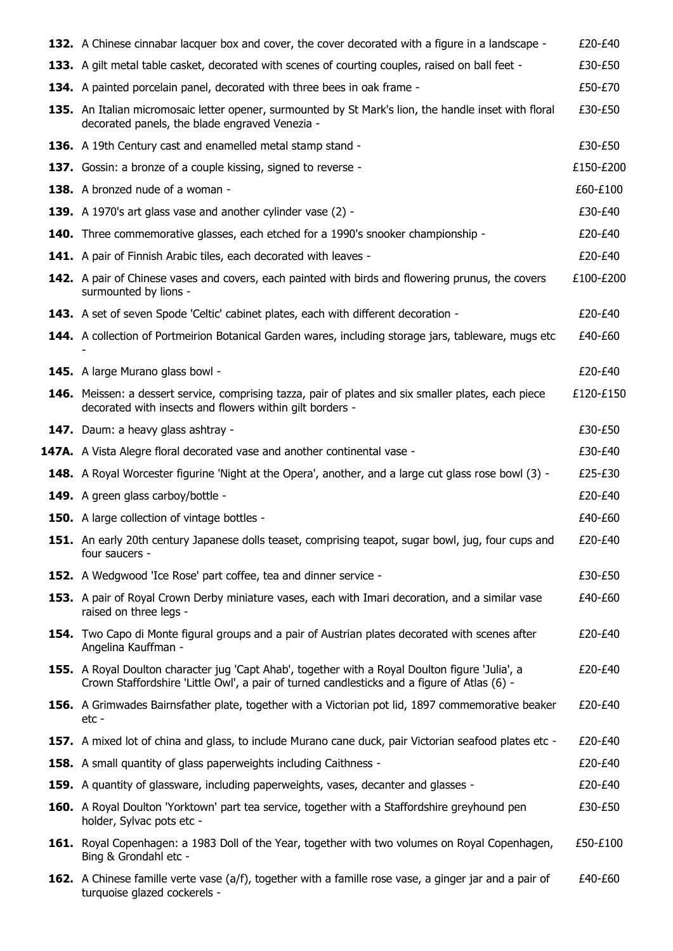| <b>132.</b> A Chinese cinnabar lacquer box and cover, the cover decorated with a figure in a landscape -                                                                                       | £20-£40   |
|------------------------------------------------------------------------------------------------------------------------------------------------------------------------------------------------|-----------|
| 133. A gilt metal table casket, decorated with scenes of courting couples, raised on ball feet -                                                                                               | £30-£50   |
| <b>134.</b> A painted porcelain panel, decorated with three bees in oak frame -                                                                                                                | £50-£70   |
| 135. An Italian micromosaic letter opener, surmounted by St Mark's lion, the handle inset with floral<br>decorated panels, the blade engraved Venezia -                                        | £30-£50   |
| 136. A 19th Century cast and enamelled metal stamp stand -                                                                                                                                     | £30-£50   |
| 137. Gossin: a bronze of a couple kissing, signed to reverse -                                                                                                                                 | £150-£200 |
| 138. A bronzed nude of a woman -                                                                                                                                                               | £60-£100  |
| 139. A 1970's art glass vase and another cylinder vase (2) -                                                                                                                                   | £30-£40   |
| <b>140.</b> Three commemorative glasses, each etched for a 1990's snooker championship -                                                                                                       | £20-£40   |
| <b>141.</b> A pair of Finnish Arabic tiles, each decorated with leaves -                                                                                                                       | £20-£40   |
| <b>142.</b> A pair of Chinese vases and covers, each painted with birds and flowering prunus, the covers<br>surmounted by lions -                                                              | £100-£200 |
| <b>143.</b> A set of seven Spode 'Celtic' cabinet plates, each with different decoration -                                                                                                     | £20-£40   |
| <b>144.</b> A collection of Portmeirion Botanical Garden wares, including storage jars, tableware, mugs etc                                                                                    | £40-£60   |
| <b>145.</b> A large Murano glass bowl -                                                                                                                                                        | £20-£40   |
| <b>146.</b> Meissen: a dessert service, comprising tazza, pair of plates and six smaller plates, each piece<br>decorated with insects and flowers within gilt borders -                        | £120-£150 |
| <b>147.</b> Daum: a heavy glass ashtray -                                                                                                                                                      | £30-£50   |
| <b>147A.</b> A Vista Alegre floral decorated vase and another continental vase -                                                                                                               | £30-£40   |
| <b>148.</b> A Royal Worcester figurine 'Night at the Opera', another, and a large cut glass rose bowl (3) -                                                                                    | £25-£30   |
| 149. A green glass carboy/bottle -                                                                                                                                                             | £20-£40   |
| <b>150.</b> A large collection of vintage bottles -                                                                                                                                            | £40-£60   |
| 151. An early 20th century Japanese dolls teaset, comprising teapot, sugar bowl, jug, four cups and<br>four saucers -                                                                          | £20-£40   |
| <b>152.</b> A Wedgwood 'Ice Rose' part coffee, tea and dinner service -                                                                                                                        | £30-£50   |
| 153. A pair of Royal Crown Derby miniature vases, each with Imari decoration, and a similar vase<br>raised on three legs -                                                                     | £40-£60   |
| 154. Two Capo di Monte figural groups and a pair of Austrian plates decorated with scenes after<br>Angelina Kauffman -                                                                         | £20-£40   |
| 155. A Royal Doulton character jug 'Capt Ahab', together with a Royal Doulton figure 'Julia', a<br>Crown Staffordshire 'Little Owl', a pair of turned candlesticks and a figure of Atlas (6) - | £20-£40   |
| <b>156.</b> A Grimwades Bairnsfather plate, together with a Victorian pot lid, 1897 commemorative beaker<br>etc -                                                                              | £20-£40   |
| <b>157.</b> A mixed lot of china and glass, to include Murano cane duck, pair Victorian seafood plates etc -                                                                                   | £20-£40   |
| <b>158.</b> A small quantity of glass paperweights including Caithness -                                                                                                                       | £20-£40   |
| <b>159.</b> A quantity of glassware, including paperweights, vases, decanter and glasses -                                                                                                     | £20-£40   |
| <b>160.</b> A Royal Doulton 'Yorktown' part tea service, together with a Staffordshire greyhound pen<br>holder, Sylvac pots etc -                                                              | £30-£50   |
| <b>161.</b> Royal Copenhagen: a 1983 Doll of the Year, together with two volumes on Royal Copenhagen,<br>Bing & Grondahl etc -                                                                 | £50-£100  |
| 162. A Chinese famille verte vase (a/f), together with a famille rose vase, a ginger jar and a pair of<br>turquoise glazed cockerels -                                                         | £40-£60   |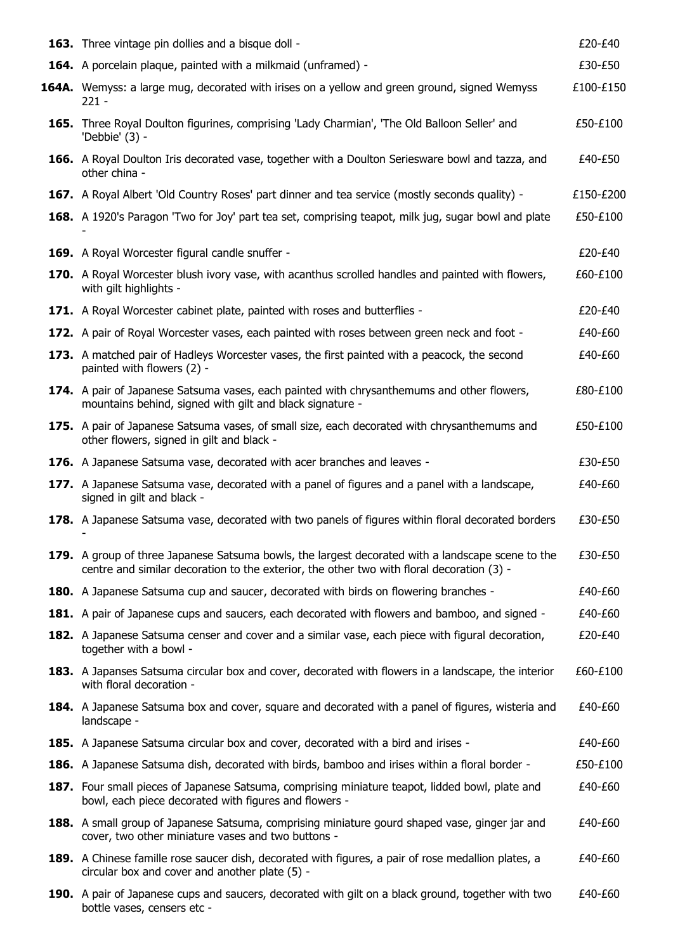| <b>163.</b> Three vintage pin dollies and a bisque doll -                                                                                                                                      | £20-£40   |
|------------------------------------------------------------------------------------------------------------------------------------------------------------------------------------------------|-----------|
| 164. A porcelain plaque, painted with a milkmaid (unframed) -                                                                                                                                  | £30-£50   |
| <b>164A.</b> Wemyss: a large mug, decorated with irises on a yellow and green ground, signed Wemyss<br>$221 -$                                                                                 | £100-£150 |
| 165. Three Royal Doulton figurines, comprising 'Lady Charmian', 'The Old Balloon Seller' and<br>'Debbie' (3) -                                                                                 | £50-£100  |
| 166. A Royal Doulton Iris decorated vase, together with a Doulton Seriesware bowl and tazza, and<br>other china -                                                                              | £40-£50   |
| 167. A Royal Albert 'Old Country Roses' part dinner and tea service (mostly seconds quality) -                                                                                                 | £150-£200 |
| <b>168.</b> A 1920's Paragon 'Two for Joy' part tea set, comprising teapot, milk jug, sugar bowl and plate                                                                                     | £50-£100  |
| 169. A Royal Worcester figural candle snuffer -                                                                                                                                                | £20-£40   |
| 170. A Royal Worcester blush ivory vase, with acanthus scrolled handles and painted with flowers,<br>with gilt highlights -                                                                    | £60-£100  |
| 171. A Royal Worcester cabinet plate, painted with roses and butterflies -                                                                                                                     | £20-£40   |
| 172. A pair of Royal Worcester vases, each painted with roses between green neck and foot -                                                                                                    | £40-£60   |
| 173. A matched pair of Hadleys Worcester vases, the first painted with a peacock, the second<br>painted with flowers (2) -                                                                     | £40-£60   |
| <b>174.</b> A pair of Japanese Satsuma vases, each painted with chrysanthemums and other flowers,<br>mountains behind, signed with gilt and black signature -                                  | £80-£100  |
| 175. A pair of Japanese Satsuma vases, of small size, each decorated with chrysanthemums and<br>other flowers, signed in gilt and black -                                                      | £50-£100  |
| 176. A Japanese Satsuma vase, decorated with acer branches and leaves -                                                                                                                        | £30-£50   |
| 177. A Japanese Satsuma vase, decorated with a panel of figures and a panel with a landscape,<br>signed in gilt and black -                                                                    | £40-£60   |
| 178. A Japanese Satsuma vase, decorated with two panels of figures within floral decorated borders                                                                                             | £30-£50   |
| 179. A group of three Japanese Satsuma bowls, the largest decorated with a landscape scene to the<br>centre and similar decoration to the exterior, the other two with floral decoration (3) - | £30-£50   |
| <b>180.</b> A Japanese Satsuma cup and saucer, decorated with birds on flowering branches -                                                                                                    | £40-£60   |
| 181. A pair of Japanese cups and saucers, each decorated with flowers and bamboo, and signed -                                                                                                 | £40-£60   |
| 182. A Japanese Satsuma censer and cover and a similar vase, each piece with figural decoration,<br>together with a bowl -                                                                     | £20-£40   |
| 183. A Japanses Satsuma circular box and cover, decorated with flowers in a landscape, the interior<br>with floral decoration -                                                                | £60-£100  |
| 184. A Japanese Satsuma box and cover, square and decorated with a panel of figures, wisteria and<br>landscape -                                                                               | £40-£60   |
| 185. A Japanese Satsuma circular box and cover, decorated with a bird and irises -                                                                                                             | £40-£60   |
| 186. A Japanese Satsuma dish, decorated with birds, bamboo and irises within a floral border -                                                                                                 | £50-£100  |
| 187. Four small pieces of Japanese Satsuma, comprising miniature teapot, lidded bowl, plate and<br>bowl, each piece decorated with figures and flowers -                                       | £40-£60   |
| 188. A small group of Japanese Satsuma, comprising miniature gourd shaped vase, ginger jar and<br>cover, two other miniature vases and two buttons -                                           | £40-£60   |
| 189. A Chinese famille rose saucer dish, decorated with figures, a pair of rose medallion plates, a<br>circular box and cover and another plate (5) -                                          | £40-£60   |
| 190. A pair of Japanese cups and saucers, decorated with gilt on a black ground, together with two<br>bottle vases, censers etc -                                                              | £40-£60   |
|                                                                                                                                                                                                |           |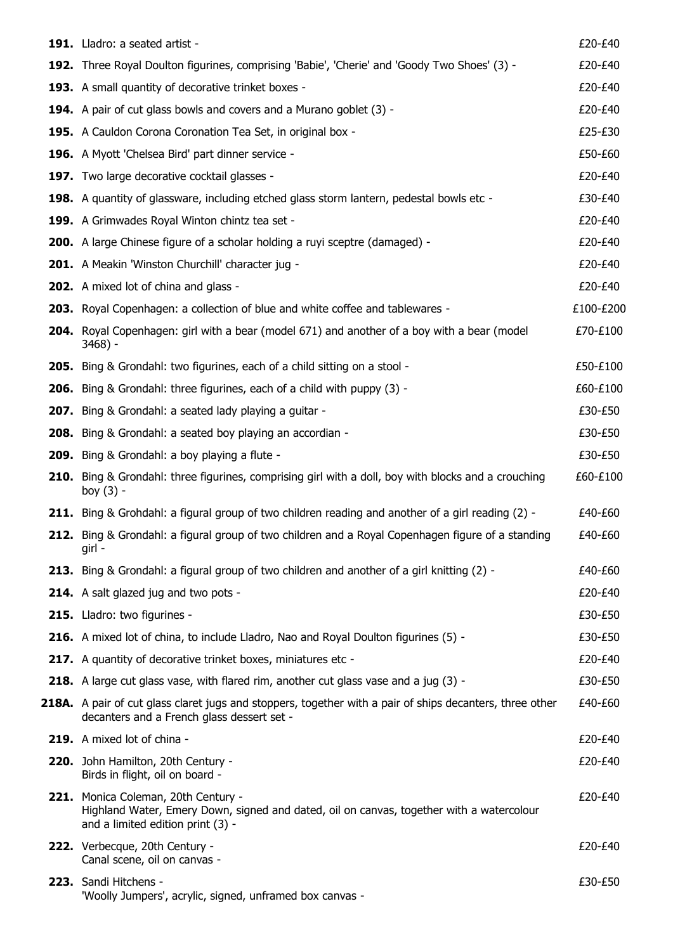| 191. Lladro: a seated artist -                                                                                                                                       | £20-£40   |
|----------------------------------------------------------------------------------------------------------------------------------------------------------------------|-----------|
| 192. Three Royal Doulton figurines, comprising 'Babie', 'Cherie' and 'Goody Two Shoes' (3) -                                                                         | £20-£40   |
| 193. A small quantity of decorative trinket boxes -                                                                                                                  | £20-£40   |
| 194. A pair of cut glass bowls and covers and a Murano goblet (3) -                                                                                                  | £20-£40   |
| 195. A Cauldon Corona Coronation Tea Set, in original box -                                                                                                          | £25-£30   |
| 196. A Myott 'Chelsea Bird' part dinner service -                                                                                                                    | £50-£60   |
| 197. Two large decorative cocktail glasses -                                                                                                                         | £20-£40   |
| <b>198.</b> A quantity of glassware, including etched glass storm lantern, pedestal bowls etc -                                                                      | £30-£40   |
| 199. A Grimwades Royal Winton chintz tea set -                                                                                                                       | £20-£40   |
| 200. A large Chinese figure of a scholar holding a ruyi sceptre (damaged) -                                                                                          | £20-£40   |
| 201. A Meakin 'Winston Churchill' character jug -                                                                                                                    | £20-£40   |
| 202. A mixed lot of china and glass -                                                                                                                                | £20-£40   |
| 203. Royal Copenhagen: a collection of blue and white coffee and tablewares -                                                                                        | £100-£200 |
| 204. Royal Copenhagen: girl with a bear (model 671) and another of a boy with a bear (model<br>$3468$ ) -                                                            | £70-£100  |
| <b>205.</b> Bing & Grondahl: two figurines, each of a child sitting on a stool -                                                                                     | £50-£100  |
| 206. Bing & Grondahl: three figurines, each of a child with puppy (3) -                                                                                              | £60-£100  |
| <b>207.</b> Bing & Grondahl: a seated lady playing a guitar -                                                                                                        | £30-£50   |
| 208. Bing & Grondahl: a seated boy playing an accordian -                                                                                                            | £30-£50   |
| <b>209.</b> Bing & Grondahl: a boy playing a flute -                                                                                                                 | £30-£50   |
| 210. Bing & Grondahl: three figurines, comprising girl with a doll, boy with blocks and a crouching<br>boy $(3)$ -                                                   | £60-£100  |
| 211. Bing & Grohdahl: a figural group of two children reading and another of a girl reading (2) -                                                                    | £40-£60   |
| 212. Bing & Grondahl: a figural group of two children and a Royal Copenhagen figure of a standing<br>girl -                                                          | £40-£60   |
| 213. Bing & Grondahl: a figural group of two children and another of a girl knitting (2) -                                                                           | £40-£60   |
| 214. A salt glazed jug and two pots -                                                                                                                                | £20-£40   |
| 215. Lladro: two figurines -                                                                                                                                         | £30-£50   |
| 216. A mixed lot of china, to include Lladro, Nao and Royal Doulton figurines (5) -                                                                                  | £30-£50   |
| 217. A quantity of decorative trinket boxes, miniatures etc -                                                                                                        | £20-£40   |
| 218. A large cut glass vase, with flared rim, another cut glass vase and a jug (3) -                                                                                 | £30-£50   |
| 218A. A pair of cut glass claret jugs and stoppers, together with a pair of ships decanters, three other<br>decanters and a French glass dessert set -               | £40-£60   |
| 219. A mixed lot of china -                                                                                                                                          | £20-£40   |
| 220. John Hamilton, 20th Century -<br>Birds in flight, oil on board -                                                                                                | £20-£40   |
| 221. Monica Coleman, 20th Century -<br>Highland Water, Emery Down, signed and dated, oil on canvas, together with a watercolour<br>and a limited edition print (3) - | £20-£40   |
| 222. Verbecque, 20th Century -<br>Canal scene, oil on canvas -                                                                                                       | £20-£40   |
| 223. Sandi Hitchens -<br>'Woolly Jumpers', acrylic, signed, unframed box canvas -                                                                                    | £30-£50   |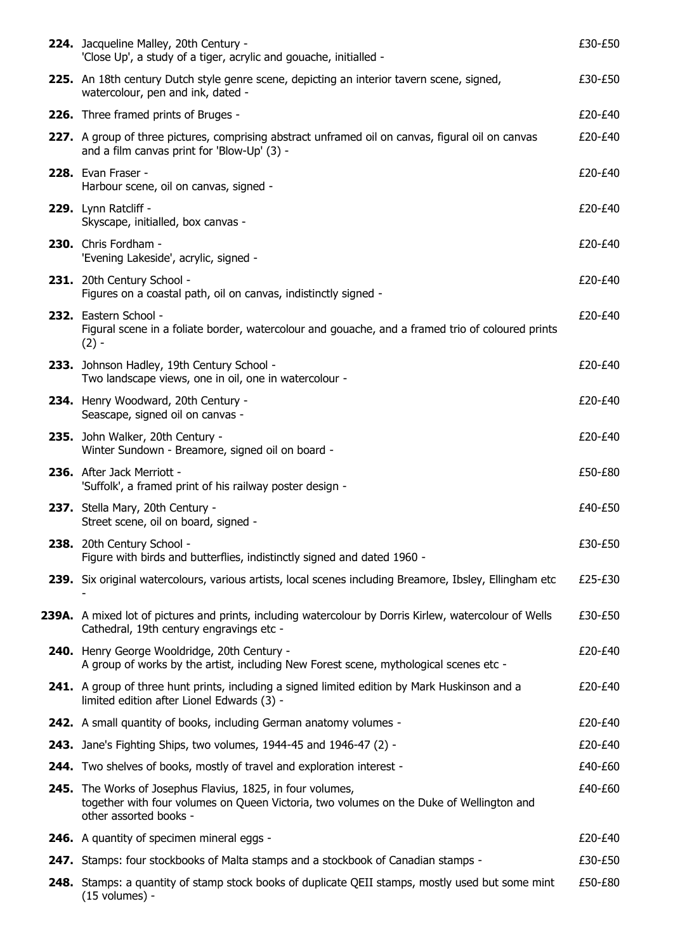| 224. Jacqueline Malley, 20th Century -<br>'Close Up', a study of a tiger, acrylic and gouache, initialled -                                                                     | £30-£50 |
|---------------------------------------------------------------------------------------------------------------------------------------------------------------------------------|---------|
| <b>225.</b> An 18th century Dutch style genre scene, depicting an interior tavern scene, signed,<br>watercolour, pen and ink, dated -                                           | £30-£50 |
| 226. Three framed prints of Bruges -                                                                                                                                            | £20-£40 |
| 227. A group of three pictures, comprising abstract unframed oil on canvas, figural oil on canvas<br>and a film canvas print for 'Blow-Up' (3) -                                | £20-£40 |
| 228. Evan Fraser -<br>Harbour scene, oil on canvas, signed -                                                                                                                    | £20-£40 |
| 229. Lynn Ratcliff -<br>Skyscape, initialled, box canvas -                                                                                                                      | £20-£40 |
| 230. Chris Fordham -<br>'Evening Lakeside', acrylic, signed -                                                                                                                   | £20-£40 |
| 231. 20th Century School -<br>Figures on a coastal path, oil on canvas, indistinctly signed -                                                                                   | £20-£40 |
| 232. Eastern School -<br>Figural scene in a foliate border, watercolour and gouache, and a framed trio of coloured prints<br>$(2) -$                                            | £20-£40 |
| 233. Johnson Hadley, 19th Century School -<br>Two landscape views, one in oil, one in watercolour -                                                                             | £20-£40 |
| 234. Henry Woodward, 20th Century -<br>Seascape, signed oil on canvas -                                                                                                         | £20-£40 |
| 235. John Walker, 20th Century -<br>Winter Sundown - Breamore, signed oil on board -                                                                                            | £20-£40 |
| 236. After Jack Merriott -<br>'Suffolk', a framed print of his railway poster design -                                                                                          | £50-£80 |
| 237. Stella Mary, 20th Century -<br>Street scene, oil on board, signed -                                                                                                        | £40-£50 |
| 238. 20th Century School -<br>Figure with birds and butterflies, indistinctly signed and dated 1960 -                                                                           | £30-£50 |
| 239. Six original watercolours, various artists, local scenes including Breamore, Ibsley, Ellingham etc                                                                         | £25-£30 |
| 239A. A mixed lot of pictures and prints, including watercolour by Dorris Kirlew, watercolour of Wells<br>Cathedral, 19th century engravings etc -                              | £30-£50 |
| 240. Henry George Wooldridge, 20th Century -<br>A group of works by the artist, including New Forest scene, mythological scenes etc -                                           | £20-£40 |
| 241. A group of three hunt prints, including a signed limited edition by Mark Huskinson and a<br>limited edition after Lionel Edwards (3) -                                     | £20-£40 |
| 242. A small quantity of books, including German anatomy volumes -                                                                                                              | £20-£40 |
| 243. Jane's Fighting Ships, two volumes, 1944-45 and 1946-47 (2) -                                                                                                              | £20-£40 |
| 244. Two shelves of books, mostly of travel and exploration interest -                                                                                                          | £40-£60 |
| 245. The Works of Josephus Flavius, 1825, in four volumes,<br>together with four volumes on Queen Victoria, two volumes on the Duke of Wellington and<br>other assorted books - | £40-£60 |
| <b>246.</b> A quantity of specimen mineral eggs -                                                                                                                               | £20-£40 |
| 247. Stamps: four stockbooks of Malta stamps and a stockbook of Canadian stamps -                                                                                               | £30-£50 |
| 248. Stamps: a quantity of stamp stock books of duplicate QEII stamps, mostly used but some mint<br>$(15$ volumes) -                                                            | £50-£80 |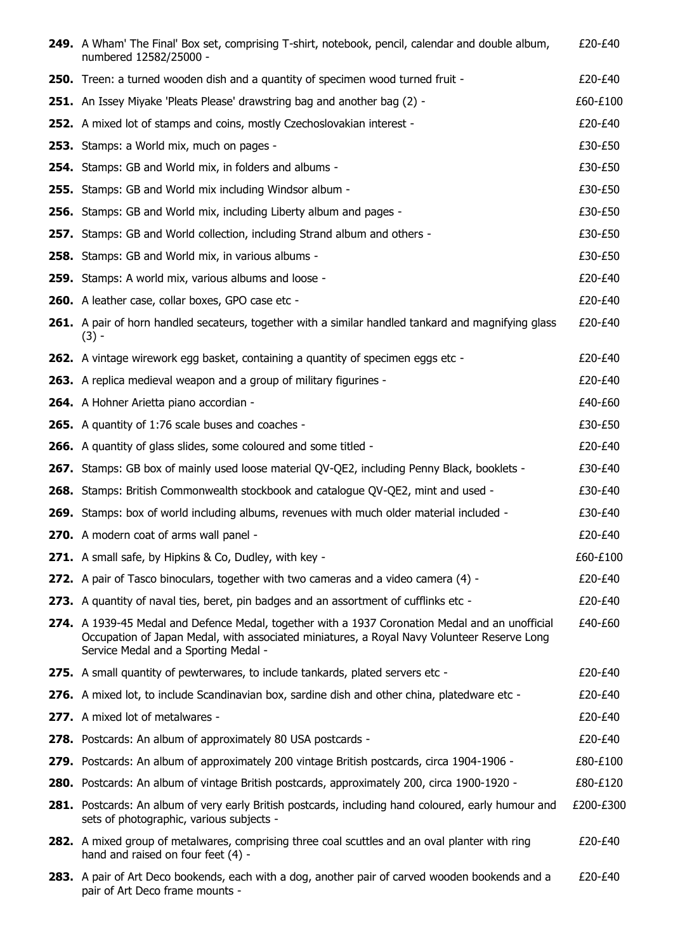| 249. A Wham' The Final' Box set, comprising T-shirt, notebook, pencil, calendar and double album,<br>numbered 12582/25000 -                                                                                                           | £20-£40   |
|---------------------------------------------------------------------------------------------------------------------------------------------------------------------------------------------------------------------------------------|-----------|
| <b>250.</b> Treen: a turned wooden dish and a quantity of specimen wood turned fruit -                                                                                                                                                | £20-£40   |
| 251. An Issey Miyake 'Pleats Please' drawstring bag and another bag (2) -                                                                                                                                                             | £60-£100  |
| 252. A mixed lot of stamps and coins, mostly Czechoslovakian interest -                                                                                                                                                               | £20-£40   |
| 253. Stamps: a World mix, much on pages -                                                                                                                                                                                             | £30-£50   |
| <b>254.</b> Stamps: GB and World mix, in folders and albums -                                                                                                                                                                         | £30-£50   |
| <b>255.</b> Stamps: GB and World mix including Windsor album -                                                                                                                                                                        | £30-£50   |
| 256. Stamps: GB and World mix, including Liberty album and pages -                                                                                                                                                                    | £30-£50   |
| <b>257.</b> Stamps: GB and World collection, including Strand album and others -                                                                                                                                                      | £30-£50   |
| 258. Stamps: GB and World mix, in various albums -                                                                                                                                                                                    | £30-£50   |
| 259. Stamps: A world mix, various albums and loose -                                                                                                                                                                                  | £20-£40   |
| 260. A leather case, collar boxes, GPO case etc -                                                                                                                                                                                     | £20-£40   |
| <b>261.</b> A pair of horn handled secateurs, together with a similar handled tankard and magnifying glass<br>$(3) -$                                                                                                                 | £20-£40   |
| 262. A vintage wirework egg basket, containing a quantity of specimen eggs etc -                                                                                                                                                      | £20-£40   |
| 263. A replica medieval weapon and a group of military figurines -                                                                                                                                                                    | £20-£40   |
| 264. A Hohner Arietta piano accordian -                                                                                                                                                                                               | £40-£60   |
| <b>265.</b> A quantity of 1:76 scale buses and coaches -                                                                                                                                                                              | £30-£50   |
| <b>266.</b> A quantity of glass slides, some coloured and some titled -                                                                                                                                                               | £20-£40   |
| 267. Stamps: GB box of mainly used loose material QV-QE2, including Penny Black, booklets -                                                                                                                                           | £30-£40   |
| 268. Stamps: British Commonwealth stockbook and catalogue QV-QE2, mint and used -                                                                                                                                                     | £30-£40   |
| 269. Stamps: box of world including albums, revenues with much older material included -                                                                                                                                              | £30-£40   |
| 270. A modern coat of arms wall panel -                                                                                                                                                                                               | £20-£40   |
| 271. A small safe, by Hipkins & Co, Dudley, with key -                                                                                                                                                                                | £60-£100  |
| 272. A pair of Tasco binoculars, together with two cameras and a video camera (4) -                                                                                                                                                   | £20-£40   |
| 273. A quantity of naval ties, beret, pin badges and an assortment of cufflinks etc -                                                                                                                                                 | £20-£40   |
| 274. A 1939-45 Medal and Defence Medal, together with a 1937 Coronation Medal and an unofficial<br>Occupation of Japan Medal, with associated miniatures, a Royal Navy Volunteer Reserve Long<br>Service Medal and a Sporting Medal - | £40-£60   |
| <b>275.</b> A small quantity of pewterwares, to include tankards, plated servers etc -                                                                                                                                                | £20-£40   |
| 276. A mixed lot, to include Scandinavian box, sardine dish and other china, platedware etc -                                                                                                                                         | £20-£40   |
| 277. A mixed lot of metalwares -                                                                                                                                                                                                      | £20-£40   |
| 278. Postcards: An album of approximately 80 USA postcards -                                                                                                                                                                          | £20-£40   |
| 279. Postcards: An album of approximately 200 vintage British postcards, circa 1904-1906 -                                                                                                                                            | £80-£100  |
| <b>280.</b> Postcards: An album of vintage British postcards, approximately 200, circa 1900-1920 -                                                                                                                                    | £80-£120  |
| 281. Postcards: An album of very early British postcards, including hand coloured, early humour and<br>sets of photographic, various subjects -                                                                                       | £200-£300 |
| <b>282.</b> A mixed group of metalwares, comprising three coal scuttles and an oval planter with ring<br>hand and raised on four feet (4) -                                                                                           | £20-£40   |
| 283. A pair of Art Deco bookends, each with a dog, another pair of carved wooden bookends and a<br>pair of Art Deco frame mounts -                                                                                                    | £20-£40   |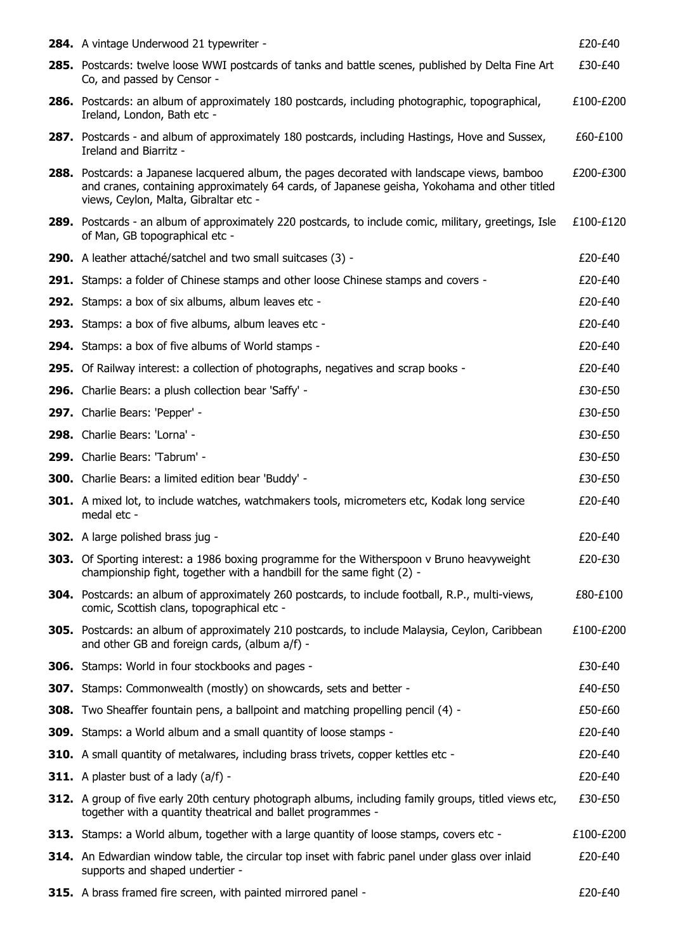| 284. A vintage Underwood 21 typewriter -                                                                                                                                                                                                     | £20-£40   |
|----------------------------------------------------------------------------------------------------------------------------------------------------------------------------------------------------------------------------------------------|-----------|
| 285. Postcards: twelve loose WWI postcards of tanks and battle scenes, published by Delta Fine Art<br>Co, and passed by Censor -                                                                                                             | £30-£40   |
| <b>286.</b> Postcards: an album of approximately 180 postcards, including photographic, topographical,<br>Ireland, London, Bath etc -                                                                                                        | £100-£200 |
| <b>287.</b> Postcards - and album of approximately 180 postcards, including Hastings, Hove and Sussex,<br>Ireland and Biarritz -                                                                                                             | £60-£100  |
| <b>288.</b> Postcards: a Japanese lacquered album, the pages decorated with landscape views, bamboo<br>and cranes, containing approximately 64 cards, of Japanese geisha, Yokohama and other titled<br>views, Ceylon, Malta, Gibraltar etc - | £200-£300 |
| 289. Postcards - an album of approximately 220 postcards, to include comic, military, greetings, Isle<br>of Man, GB topographical etc -                                                                                                      | £100-£120 |
| 290. A leather attaché/satchel and two small suitcases (3) -                                                                                                                                                                                 | £20-£40   |
| <b>291.</b> Stamps: a folder of Chinese stamps and other loose Chinese stamps and covers -                                                                                                                                                   | £20-£40   |
| 292. Stamps: a box of six albums, album leaves etc -                                                                                                                                                                                         | £20-£40   |
| 293. Stamps: a box of five albums, album leaves etc -                                                                                                                                                                                        | £20-£40   |
| 294. Stamps: a box of five albums of World stamps -                                                                                                                                                                                          | £20-£40   |
| 295. Of Railway interest: a collection of photographs, negatives and scrap books -                                                                                                                                                           | £20-£40   |
| 296. Charlie Bears: a plush collection bear 'Saffy' -                                                                                                                                                                                        | £30-£50   |
| 297. Charlie Bears: 'Pepper' -                                                                                                                                                                                                               | £30-£50   |
| 298. Charlie Bears: 'Lorna' -                                                                                                                                                                                                                | £30-£50   |
| 299. Charlie Bears: 'Tabrum' -                                                                                                                                                                                                               | £30-£50   |
| <b>300.</b> Charlie Bears: a limited edition bear 'Buddy' -                                                                                                                                                                                  | £30-£50   |
| <b>301.</b> A mixed lot, to include watches, watchmakers tools, micrometers etc, Kodak long service<br>medal etc -                                                                                                                           | £20-£40   |
| 302. A large polished brass jug -                                                                                                                                                                                                            | £20-£40   |
| 303. Of Sporting interest: a 1986 boxing programme for the Witherspoon v Bruno heavyweight<br>championship fight, together with a handbill for the same fight (2) -                                                                          | £20-£30   |
| <b>304.</b> Postcards: an album of approximately 260 postcards, to include football, R.P., multi-views,<br>comic, Scottish clans, topographical etc -                                                                                        | £80-£100  |
| <b>305.</b> Postcards: an album of approximately 210 postcards, to include Malaysia, Ceylon, Caribbean<br>and other GB and foreign cards, (album a/f) -                                                                                      | £100-£200 |
| <b>306.</b> Stamps: World in four stockbooks and pages -                                                                                                                                                                                     | £30-£40   |
| 307. Stamps: Commonwealth (mostly) on showcards, sets and better -                                                                                                                                                                           | £40-£50   |
| <b>308.</b> Two Sheaffer fountain pens, a ballpoint and matching propelling pencil (4) -                                                                                                                                                     | £50-£60   |
| 309. Stamps: a World album and a small quantity of loose stamps -                                                                                                                                                                            | £20-£40   |
| 310. A small quantity of metalwares, including brass trivets, copper kettles etc -                                                                                                                                                           | £20-£40   |
| <b>311.</b> A plaster bust of a lady $(a/f)$ -                                                                                                                                                                                               | £20-£40   |
| 312. A group of five early 20th century photograph albums, including family groups, titled views etc,<br>together with a quantity theatrical and ballet programmes -                                                                         | £30-£50   |
| <b>313.</b> Stamps: a World album, together with a large quantity of loose stamps, covers etc -                                                                                                                                              | £100-£200 |
| 314. An Edwardian window table, the circular top inset with fabric panel under glass over inlaid<br>supports and shaped undertier -                                                                                                          | £20-£40   |
| 315. A brass framed fire screen, with painted mirrored panel -                                                                                                                                                                               | £20-£40   |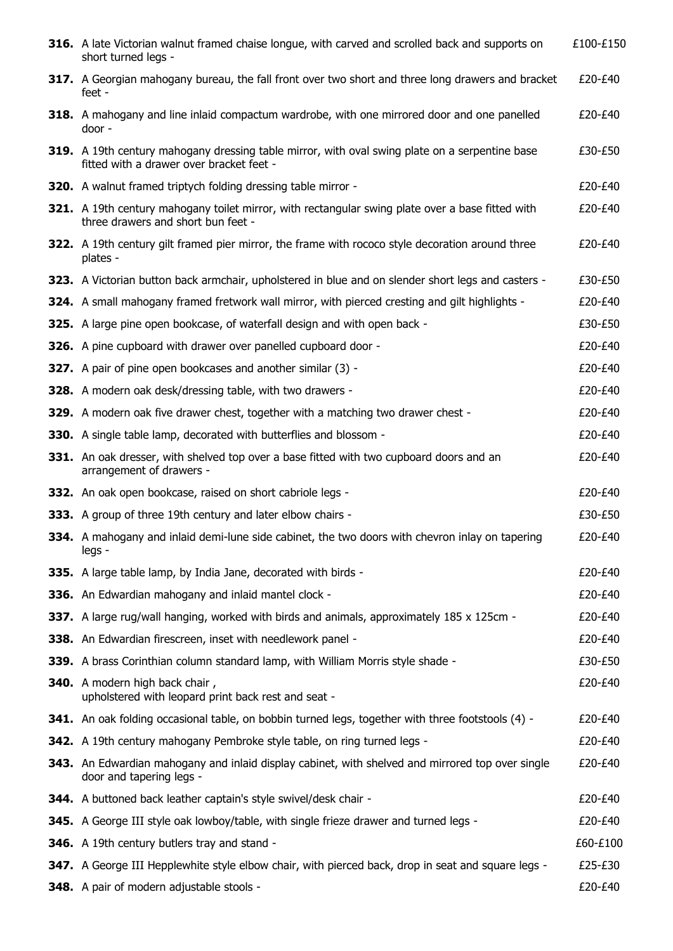| 316. A late Victorian walnut framed chaise longue, with carved and scrolled back and supports on<br>short turned legs -                           | £100-£150 |
|---------------------------------------------------------------------------------------------------------------------------------------------------|-----------|
| 317. A Georgian mahogany bureau, the fall front over two short and three long drawers and bracket<br>feet -                                       | £20-£40   |
| 318. A mahogany and line inlaid compactum wardrobe, with one mirrored door and one panelled<br>door -                                             | £20-£40   |
| <b>319.</b> A 19th century mahogany dressing table mirror, with oval swing plate on a serpentine base<br>fitted with a drawer over bracket feet - | £30-£50   |
| <b>320.</b> A walnut framed triptych folding dressing table mirror -                                                                              | £20-£40   |
| <b>321.</b> A 19th century mahogany toilet mirror, with rectangular swing plate over a base fitted with<br>three drawers and short bun feet -     | £20-£40   |
| <b>322.</b> A 19th century gilt framed pier mirror, the frame with rococo style decoration around three<br>plates -                               | £20-£40   |
| 323. A Victorian button back armchair, upholstered in blue and on slender short legs and casters -                                                | £30-£50   |
| 324. A small mahogany framed fretwork wall mirror, with pierced cresting and gilt highlights -                                                    | £20-£40   |
| 325. A large pine open bookcase, of waterfall design and with open back -                                                                         | £30-£50   |
| 326. A pine cupboard with drawer over panelled cupboard door -                                                                                    | £20-£40   |
| <b>327.</b> A pair of pine open bookcases and another similar (3) -                                                                               | £20-£40   |
| 328. A modern oak desk/dressing table, with two drawers -                                                                                         | £20-£40   |
| <b>329.</b> A modern oak five drawer chest, together with a matching two drawer chest -                                                           | £20-£40   |
| <b>330.</b> A single table lamp, decorated with butterflies and blossom -                                                                         | £20-£40   |
| 331. An oak dresser, with shelved top over a base fitted with two cupboard doors and an<br>arrangement of drawers -                               | £20-£40   |
| 332. An oak open bookcase, raised on short cabriole legs -                                                                                        | £20-£40   |
| 333. A group of three 19th century and later elbow chairs -                                                                                       | £30-£50   |
| 334. A mahogany and inlaid demi-lune side cabinet, the two doors with chevron inlay on tapering<br>legs -                                         | £20-£40   |
| 335. A large table lamp, by India Jane, decorated with birds -                                                                                    | £20-£40   |
| 336. An Edwardian mahogany and inlaid mantel clock -                                                                                              | £20-£40   |
| 337. A large rug/wall hanging, worked with birds and animals, approximately 185 x 125cm -                                                         | £20-£40   |
| 338. An Edwardian firescreen, inset with needlework panel -                                                                                       | £20-£40   |
| 339. A brass Corinthian column standard lamp, with William Morris style shade -                                                                   | £30-£50   |
| <b>340.</b> A modern high back chair,<br>upholstered with leopard print back rest and seat -                                                      | £20-£40   |
| 341. An oak folding occasional table, on bobbin turned legs, together with three footstools (4) -                                                 | £20-£40   |
| 342. A 19th century mahogany Pembroke style table, on ring turned legs -                                                                          | £20-£40   |
| <b>343.</b> An Edwardian mahogany and inlaid display cabinet, with shelved and mirrored top over single<br>door and tapering legs -               | £20-£40   |
| 344. A buttoned back leather captain's style swivel/desk chair -                                                                                  | £20-£40   |
| <b>345.</b> A George III style oak lowboy/table, with single frieze drawer and turned legs -                                                      | £20-£40   |
| <b>346.</b> A 19th century butlers tray and stand -                                                                                               | £60-£100  |
| 347. A George III Hepplewhite style elbow chair, with pierced back, drop in seat and square legs -                                                | £25-£30   |
| 348. A pair of modern adjustable stools -                                                                                                         | £20-£40   |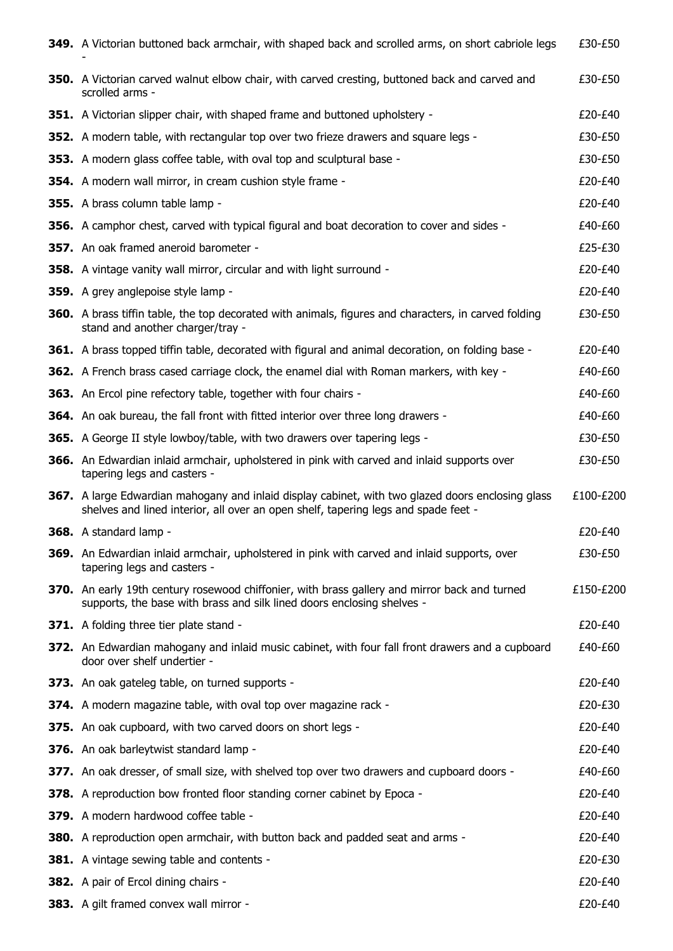| 349. A Victorian buttoned back armchair, with shaped back and scrolled arms, on short cabriole legs                                                                                     | £30-£50   |
|-----------------------------------------------------------------------------------------------------------------------------------------------------------------------------------------|-----------|
| <b>350.</b> A Victorian carved walnut elbow chair, with carved cresting, buttoned back and carved and<br>scrolled arms -                                                                | £30-£50   |
| <b>351.</b> A Victorian slipper chair, with shaped frame and buttoned upholstery -                                                                                                      | $f20-f40$ |
| <b>352.</b> A modern table, with rectangular top over two frieze drawers and square legs -                                                                                              | £30-£50   |
| <b>353.</b> A modern glass coffee table, with oval top and sculptural base -                                                                                                            | £30-£50   |
| 354. A modern wall mirror, in cream cushion style frame -                                                                                                                               | £20-£40   |
| 355. A brass column table lamp -                                                                                                                                                        | £20-£40   |
| 356. A camphor chest, carved with typical figural and boat decoration to cover and sides -                                                                                              | £40-£60   |
| 357. An oak framed aneroid barometer -                                                                                                                                                  | £25-£30   |
| 358. A vintage vanity wall mirror, circular and with light surround -                                                                                                                   | £20-£40   |
| 359. A grey anglepoise style lamp -                                                                                                                                                     | £20-£40   |
| <b>360.</b> A brass tiffin table, the top decorated with animals, figures and characters, in carved folding<br>stand and another charger/tray -                                         | £30-£50   |
| <b>361.</b> A brass topped tiffin table, decorated with figural and animal decoration, on folding base -                                                                                | £20-£40   |
| <b>362.</b> A French brass cased carriage clock, the enamel dial with Roman markers, with key -                                                                                         | £40-£60   |
| 363. An Ercol pine refectory table, together with four chairs -                                                                                                                         | £40-£60   |
| <b>364.</b> An oak bureau, the fall front with fitted interior over three long drawers -                                                                                                | £40-£60   |
| 365. A George II style lowboy/table, with two drawers over tapering legs -                                                                                                              | £30-£50   |
| <b>366.</b> An Edwardian inlaid armchair, upholstered in pink with carved and inlaid supports over<br>tapering legs and casters -                                                       | £30-£50   |
| 367. A large Edwardian mahogany and inlaid display cabinet, with two glazed doors enclosing glass<br>shelves and lined interior, all over an open shelf, tapering legs and spade feet - | £100-£200 |
| 368. A standard lamp -                                                                                                                                                                  | £20-£40   |
| 369. An Edwardian inlaid armchair, upholstered in pink with carved and inlaid supports, over<br>tapering legs and casters -                                                             | £30-£50   |
| 370. An early 19th century rosewood chiffonier, with brass gallery and mirror back and turned<br>supports, the base with brass and silk lined doors enclosing shelves -                 | £150-£200 |
| 371. A folding three tier plate stand -                                                                                                                                                 | £20-£40   |
| 372. An Edwardian mahogany and inlaid music cabinet, with four fall front drawers and a cupboard<br>door over shelf undertier -                                                         | £40-£60   |
| 373. An oak gateleg table, on turned supports -                                                                                                                                         | £20-£40   |
| 374. A modern magazine table, with oval top over magazine rack -                                                                                                                        | £20-£30   |
| 375. An oak cupboard, with two carved doors on short legs -                                                                                                                             | £20-£40   |
| 376. An oak barleytwist standard lamp -                                                                                                                                                 | £20-£40   |
| 377. An oak dresser, of small size, with shelved top over two drawers and cupboard doors -                                                                                              | £40-£60   |
| 378. A reproduction bow fronted floor standing corner cabinet by Epoca -                                                                                                                | £20-£40   |
| 379. A modern hardwood coffee table -                                                                                                                                                   | £20-£40   |
| <b>380.</b> A reproduction open armchair, with button back and padded seat and arms -                                                                                                   | £20-£40   |
| <b>381.</b> A vintage sewing table and contents -                                                                                                                                       | £20-£30   |
| <b>382.</b> A pair of Ercol dining chairs -                                                                                                                                             | £20-£40   |
| 383. A gilt framed convex wall mirror -                                                                                                                                                 | £20-£40   |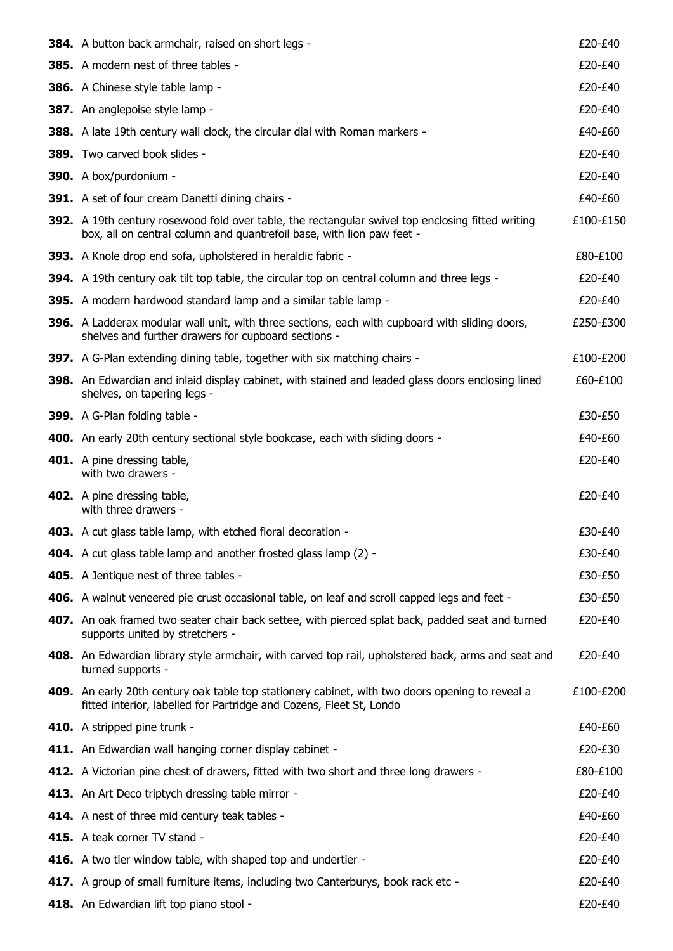| <b>384.</b> A button back armchair, raised on short legs -                                                                                                                        | £20-£40   |
|-----------------------------------------------------------------------------------------------------------------------------------------------------------------------------------|-----------|
| 385. A modern nest of three tables -                                                                                                                                              | £20-£40   |
| 386. A Chinese style table lamp -                                                                                                                                                 | £20-£40   |
| 387. An anglepoise style lamp -                                                                                                                                                   | £20-£40   |
| <b>388.</b> A late 19th century wall clock, the circular dial with Roman markers -                                                                                                | £40-£60   |
| <b>389.</b> Two carved book slides -                                                                                                                                              | £20-£40   |
| 390. A box/purdonium -                                                                                                                                                            | £20-£40   |
| 391. A set of four cream Danetti dining chairs -                                                                                                                                  | £40-£60   |
| <b>392.</b> A 19th century rosewood fold over table, the rectangular swivel top enclosing fitted writing<br>box, all on central column and quantrefoil base, with lion paw feet - | £100-£150 |
| 393. A Knole drop end sofa, upholstered in heraldic fabric -                                                                                                                      | £80-£100  |
| 394. A 19th century oak tilt top table, the circular top on central column and three legs -                                                                                       | £20-£40   |
| 395. A modern hardwood standard lamp and a similar table lamp -                                                                                                                   | £20-£40   |
| <b>396.</b> A Ladderax modular wall unit, with three sections, each with cupboard with sliding doors,<br>shelves and further drawers for cupboard sections -                      | £250-£300 |
| <b>397.</b> A G-Plan extending dining table, together with six matching chairs -                                                                                                  | £100-£200 |
| 398. An Edwardian and inlaid display cabinet, with stained and leaded glass doors enclosing lined<br>shelves, on tapering legs -                                                  | £60-£100  |
| 399. A G-Plan folding table -                                                                                                                                                     | £30-£50   |
| <b>400.</b> An early 20th century sectional style bookcase, each with sliding doors -                                                                                             | £40-£60   |
| 401. A pine dressing table,<br>with two drawers -                                                                                                                                 | £20-£40   |
| 402. A pine dressing table,<br>with three drawers -                                                                                                                               | £20-£40   |
| 403. A cut glass table lamp, with etched floral decoration -                                                                                                                      | £30-£40   |
| 404. A cut glass table lamp and another frosted glass lamp (2) -                                                                                                                  | £30-£40   |
| 405. A Jentique nest of three tables -                                                                                                                                            | £30-£50   |
| 406. A walnut veneered pie crust occasional table, on leaf and scroll capped legs and feet -                                                                                      | £30-£50   |
| 407. An oak framed two seater chair back settee, with pierced splat back, padded seat and turned<br>supports united by stretchers -                                               | £20-£40   |
| 408. An Edwardian library style armchair, with carved top rail, upholstered back, arms and seat and<br>turned supports -                                                          | £20-£40   |
| 409. An early 20th century oak table top stationery cabinet, with two doors opening to reveal a<br>fitted interior, labelled for Partridge and Cozens, Fleet St, Londo            | £100-£200 |
| 410. A stripped pine trunk -                                                                                                                                                      | £40-£60   |
| 411. An Edwardian wall hanging corner display cabinet -                                                                                                                           | £20-£30   |
| 412. A Victorian pine chest of drawers, fitted with two short and three long drawers -                                                                                            | £80-£100  |
| 413. An Art Deco triptych dressing table mirror -                                                                                                                                 | £20-£40   |
| 414. A nest of three mid century teak tables -                                                                                                                                    | £40-£60   |
| 415. A teak corner TV stand -                                                                                                                                                     | £20-£40   |
| 416. A two tier window table, with shaped top and undertier -                                                                                                                     | £20-£40   |
| 417. A group of small furniture items, including two Canterburys, book rack etc -                                                                                                 | £20-£40   |
| 418. An Edwardian lift top piano stool -                                                                                                                                          | £20-£40   |